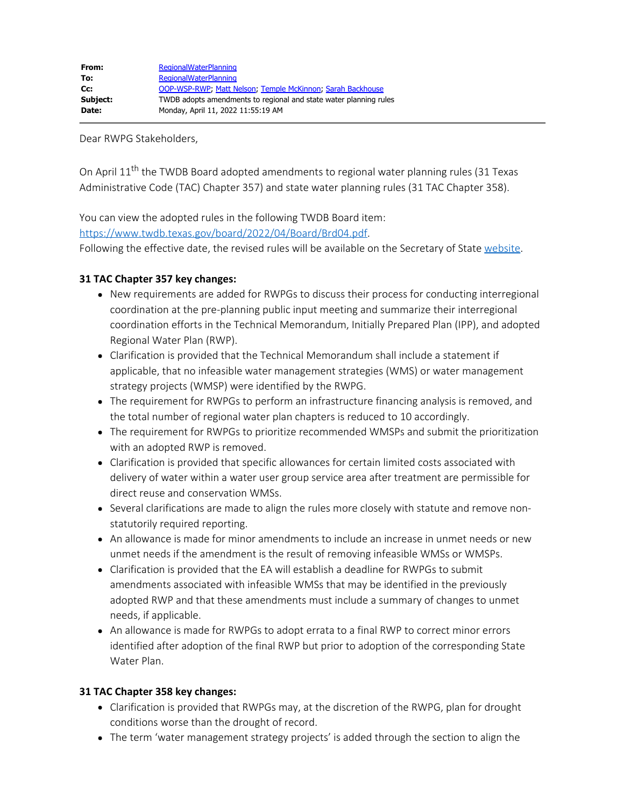Dear RWPG Stakeholders,

On April 11<sup>th</sup> the TWDB Board adopted amendments to regional water planning rules (31 Texas Administrative Code (TAC) Chapter 357) and state water planning rules (31 TAC Chapter 358).

You can view the adopted rules in the following TWDB Board item:

<https://www.twdb.texas.gov/board/2022/04/Board/Brd04.pdf>.

Following the effective date, the revised rules will be available on the Secretary of State [website](https://texreg.sos.state.tx.us/public/readtac$ext.ViewTAC?tac_view=3&ti=31&pt=10).

## **31 TAC Chapter 357 key changes:**

- New requirements are added for RWPGs to discuss their process for conducting interregional coordination at the pre-planning public input meeting and summarize their interregional coordination efforts in the Technical Memorandum, Initially Prepared Plan (IPP), and adopted Regional Water Plan (RWP).
- Clarification is provided that the Technical Memorandum shall include a statement if applicable, that no infeasible water management strategies (WMS) or water management strategy projects (WMSP) were identified by the RWPG.
- The requirement for RWPGs to perform an infrastructure financing analysis is removed, and the total number of regional water plan chapters is reduced to 10 accordingly.
- The requirement for RWPGs to prioritize recommended WMSPs and submit the prioritization with an adopted RWP is removed.
- Clarification is provided that specific allowances for certain limited costs associated with delivery of water within a water user group service area after treatment are permissible for direct reuse and conservation WMSs.
- Several clarifications are made to align the rules more closely with statute and remove nonstatutorily required reporting.
- An allowance is made for minor amendments to include an increase in unmet needs or new unmet needs if the amendment is the result of removing infeasible WMSs or WMSPs.
- Clarification is provided that the EA will establish a deadline for RWPGs to submit amendments associated with infeasible WMSs that may be identified in the previously adopted RWP and that these amendments must include a summary of changes to unmet needs, if applicable.
- An allowance is made for RWPGs to adopt errata to a final RWP to correct minor errors identified after adoption of the final RWP but prior to adoption of the corresponding State Water Plan.

## **31 TAC Chapter 358 key changes:**

- Clarification is provided that RWPGs may, at the discretion of the RWPG, plan for drought conditions worse than the drought of record.
- The term 'water management strategy projects' is added through the section to align the